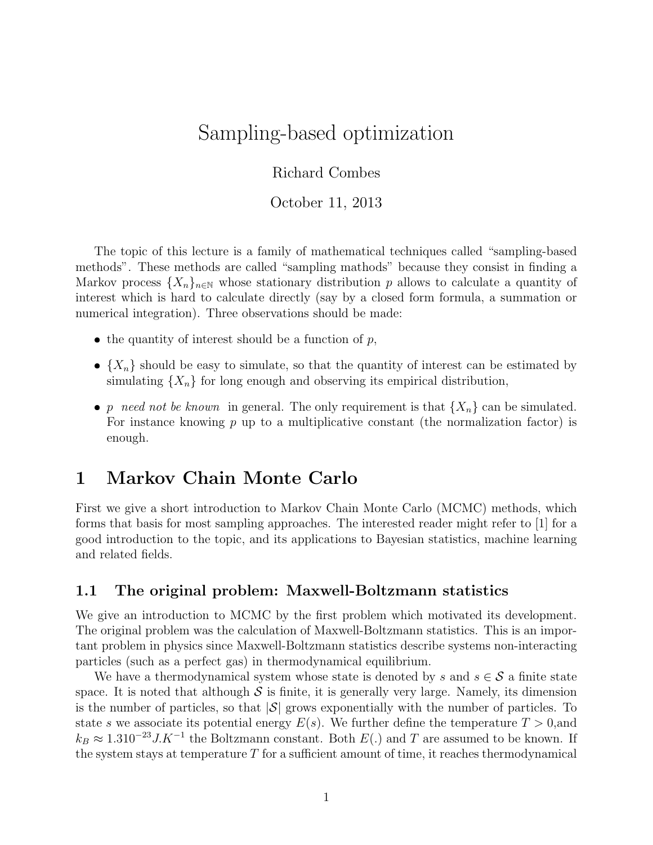# Sampling-based optimization

### Richard Combes

October 11, 2013

The topic of this lecture is a family of mathematical techniques called "sampling-based methods". These methods are called "sampling mathods" because they consist in finding a Markov process  $\{X_n\}_{n\in\mathbb{N}}$  whose stationary distribution p allows to calculate a quantity of interest which is hard to calculate directly (say by a closed form formula, a summation or numerical integration). Three observations should be made:

- $\bullet$  the quantity of interest should be a function of  $p$ ,
- $\bullet$   $\{X_n\}$  should be easy to simulate, so that the quantity of interest can be estimated by simulating  $\{X_n\}$  for long enough and observing its empirical distribution,
- p need not be known in general. The only requirement is that  $\{X_n\}$  can be simulated. For instance knowing  $p$  up to a multiplicative constant (the normalization factor) is enough.

## 1 Markov Chain Monte Carlo

First we give a short introduction to Markov Chain Monte Carlo (MCMC) methods, which forms that basis for most sampling approaches. The interested reader might refer to [1] for a good introduction to the topic, and its applications to Bayesian statistics, machine learning and related fields.

#### 1.1 The original problem: Maxwell-Boltzmann statistics

We give an introduction to MCMC by the first problem which motivated its development. The original problem was the calculation of Maxwell-Boltzmann statistics. This is an important problem in physics since Maxwell-Boltzmann statistics describe systems non-interacting particles (such as a perfect gas) in thermodynamical equilibrium.

We have a thermodynamical system whose state is denoted by s and  $s \in S$  a finite state space. It is noted that although  $S$  is finite, it is generally very large. Namely, its dimension is the number of particles, so that  $|\mathcal{S}|$  grows exponentially with the number of particles. To state s we associate its potential energy  $E(s)$ . We further define the temperature  $T > 0$ , and  $k_B \approx 1.310^{-23} J.K^{-1}$  the Boltzmann constant. Both  $E(.)$  and T are assumed to be known. If the system stays at temperature  $T$  for a sufficient amount of time, it reaches thermodynamical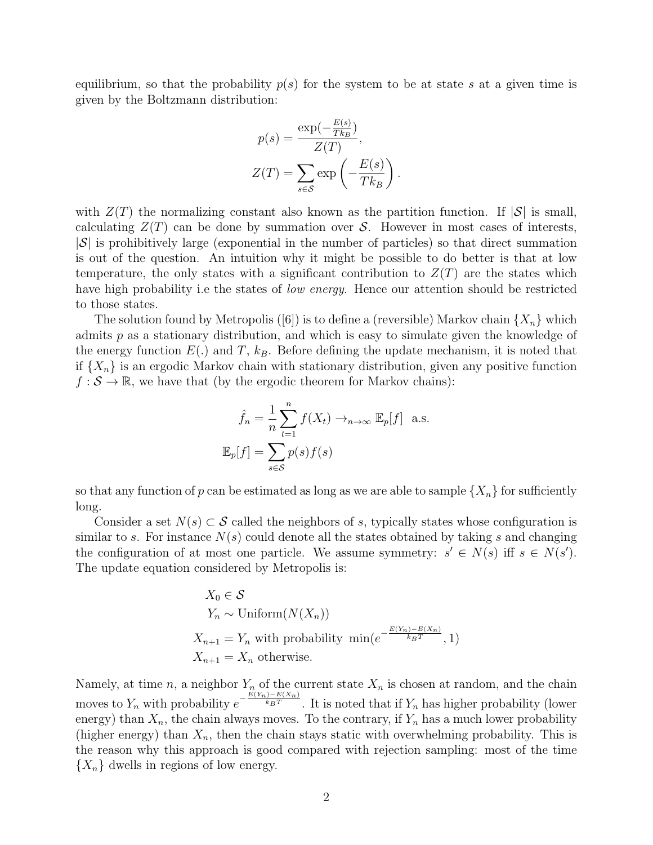equilibrium, so that the probability  $p(s)$  for the system to be at state s at a given time is given by the Boltzmann distribution:

$$
p(s) = \frac{\exp(-\frac{E(s)}{Tk_B})}{Z(T)},
$$

$$
Z(T) = \sum_{s \in S} \exp\left(-\frac{E(s)}{Tk_B}\right).
$$

with  $Z(T)$  the normalizing constant also known as the partition function. If  $|\mathcal{S}|$  is small, calculating  $Z(T)$  can be done by summation over S. However in most cases of interests,  $|\mathcal{S}|$  is prohibitively large (exponential in the number of particles) so that direct summation is out of the question. An intuition why it might be possible to do better is that at low temperature, the only states with a significant contribution to  $Z(T)$  are the states which have high probability i.e the states of *low energy*. Hence our attention should be restricted to those states.

The solution found by Metropolis ([6]) is to define a (reversible) Markov chain  $\{X_n\}$  which admits  $p$  as a stationary distribution, and which is easy to simulate given the knowledge of the energy function  $E(.)$  and T,  $k_B$ . Before defining the update mechanism, it is noted that if  $\{X_n\}$  is an ergodic Markov chain with stationary distribution, given any positive function  $f : \mathcal{S} \to \mathbb{R}$ , we have that (by the ergodic theorem for Markov chains):

$$
\hat{f}_n = \frac{1}{n} \sum_{t=1}^n f(X_t) \to_{n \to \infty} \mathbb{E}_p[f] \text{ a.s.}
$$

$$
\mathbb{E}_p[f] = \sum_{s \in \mathcal{S}} p(s) f(s)
$$

so that any function of p can be estimated as long as we are able to sample  $\{X_n\}$  for sufficiently long.

Consider a set  $N(s) \subset S$  called the neighbors of s, typically states whose configuration is similar to s. For instance  $N(s)$  could denote all the states obtained by taking s and changing the configuration of at most one particle. We assume symmetry:  $s' \in N(s)$  iff  $s \in N(s')$ . The update equation considered by Metropolis is:

$$
X_0 \in \mathcal{S}
$$
  
\n
$$
Y_n \sim \text{Uniform}(N(X_n))
$$
  
\n
$$
X_{n+1} = Y_n \text{ with probability } \min(e^{-\frac{E(Y_n) - E(X_n)}{k_B T}}, 1)
$$
  
\n
$$
X_{n+1} = X_n \text{ otherwise.}
$$

Namely, at time n, a neighbor  $Y_n$  of the current state  $X_n$  is chosen at random, and the chain moves to  $Y_n$  with probability  $e^{-\frac{E(Y_n)-E(X_n)}{k_BT}}$ . It is noted that if  $Y_n$  has higher probability (lower energy) than  $X_n$ , the chain always moves. To the contrary, if  $Y_n$  has a much lower probability (higher energy) than  $X_n$ , then the chain stays static with overwhelming probability. This is the reason why this approach is good compared with rejection sampling: most of the time  $\{X_n\}$  dwells in regions of low energy.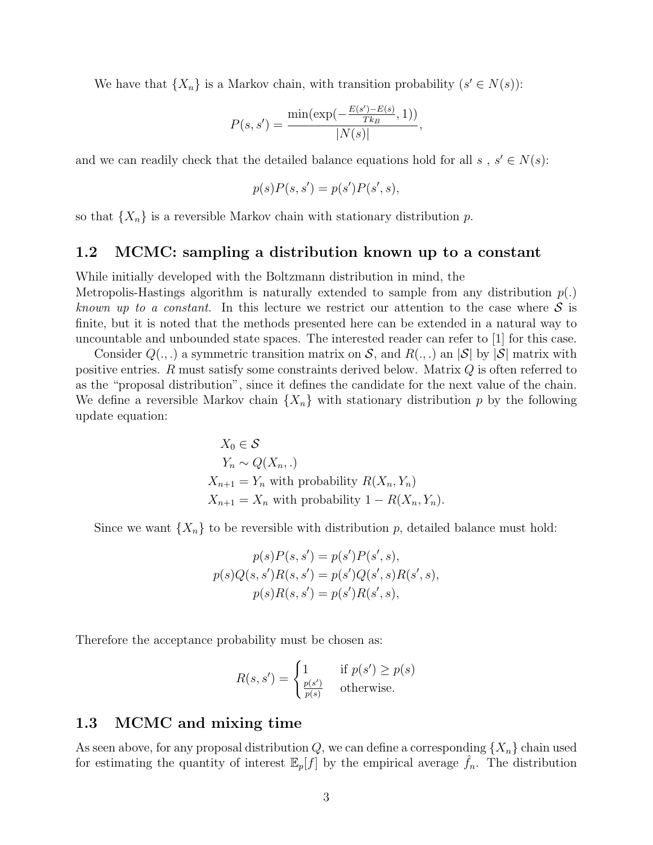We have that  $\{X_n\}$  is a Markov chain, with transition probability  $(s' \in N(s))$ :

$$
P(s, s') = \frac{\min(\exp(-\frac{E(s') - E(s)}{Tk_B}, 1))}{|N(s)|},
$$

and we can readily check that the detailed balance equations hold for all s,  $s' \in N(s)$ :

$$
p(s)P(s,s') = p(s')P(s',s),
$$

so that  $\{X_n\}$  is a reversible Markov chain with stationary distribution p.

#### 1.2 MCMC: sampling a distribution known up to a constant

While initially developed with the Boltzmann distribution in mind, the Metropolis-Hastings algorithm is naturally extended to sample from any distribution  $p(.)$ known up to a constant. In this lecture we restrict our attention to the case where  $S$  is finite, but it is noted that the methods presented here can be extended in a natural way to uncountable and unbounded state spaces. The interested reader can refer to [1] for this case.

Consider  $Q(.,.)$  a symmetric transition matrix on S, and  $R(.,.)$  an  $|\mathcal{S}|$  by  $|\mathcal{S}|$  matrix with positive entries. R must satisfy some constraints derived below. Matrix Q is often referred to as the "proposal distribution", since it defines the candidate for the next value of the chain. We define a reversible Markov chain  $\{X_n\}$  with stationary distribution p by the following update equation:

$$
X_0 \in \mathcal{S}
$$
  
\n
$$
Y_n \sim Q(X_n,.)
$$
  
\n
$$
X_{n+1} = Y_n \text{ with probability } R(X_n, Y_n)
$$
  
\n
$$
X_{n+1} = X_n \text{ with probability } 1 - R(X_n, Y_n).
$$

Since we want  $\{X_n\}$  to be reversible with distribution p, detailed balance must hold:

$$
p(s)P(s, s') = p(s')P(s', s),
$$
  
\n
$$
p(s)Q(s, s')R(s, s') = p(s')Q(s', s)R(s', s),
$$
  
\n
$$
p(s)R(s, s') = p(s')R(s', s),
$$

Therefore the acceptance probability must be chosen as:

$$
R(s, s') = \begin{cases} 1 & \text{if } p(s') \ge p(s) \\ \frac{p(s')}{p(s)} & \text{otherwise.} \end{cases}
$$

#### 1.3 MCMC and mixing time

As seen above, for any proposal distribution Q, we can define a corresponding  $\{X_n\}$  chain used for estimating the quantity of interest  $\mathbb{E}_p[f]$  by the empirical average  $f_n$ . The distribution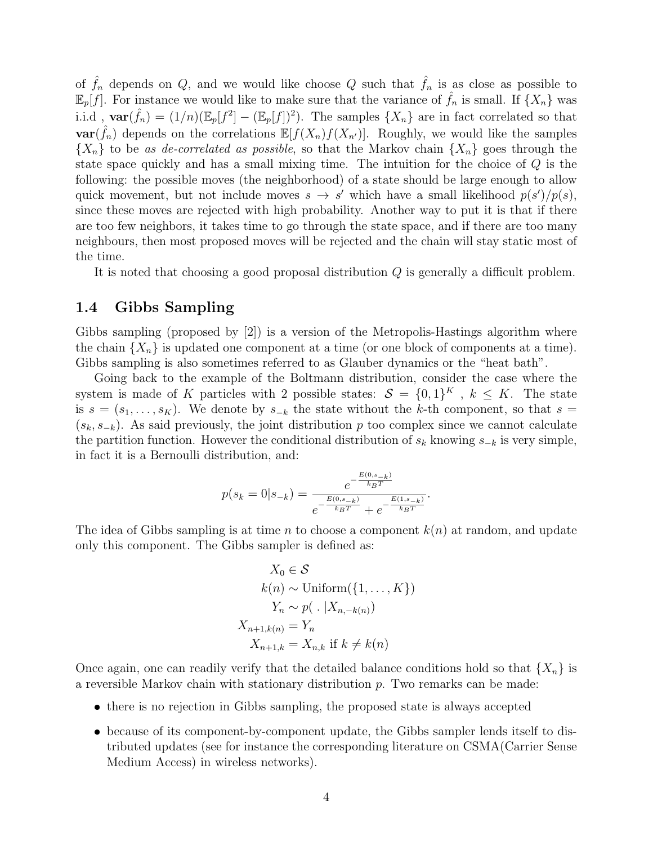of  $\hat{f}_n$  depends on Q, and we would like choose Q such that  $\hat{f}_n$  is as close as possible to  $\mathbb{E}_p[f]$ . For instance we would like to make sure that the variance of  $\hat{f}_n$  is small. If  $\{X_n\}$  was i.i.d,  $\textbf{var}(\hat{f}_n) = (1/n)(\mathbb{E}_p[f]^2] - (\mathbb{E}_p[f])^2$ . The samples  $\{X_n\}$  are in fact correlated so that  $var(\hat{f}_n)$  depends on the correlations  $\mathbb{E}[f(X_n)f(X_{n'})]$ . Roughly, we would like the samples  ${X_n}$  to be as de-correlated as possible, so that the Markov chain  ${X_n}$  goes through the state space quickly and has a small mixing time. The intuition for the choice of Q is the following: the possible moves (the neighborhood) of a state should be large enough to allow quick movement, but not include moves  $s \to s'$  which have a small likelihood  $p(s')/p(s)$ , since these moves are rejected with high probability. Another way to put it is that if there are too few neighbors, it takes time to go through the state space, and if there are too many neighbours, then most proposed moves will be rejected and the chain will stay static most of the time.

It is noted that choosing a good proposal distribution Q is generally a difficult problem.

#### 1.4 Gibbs Sampling

Gibbs sampling (proposed by [2]) is a version of the Metropolis-Hastings algorithm where the chain  ${X_n}$  is updated one component at a time (or one block of components at a time). Gibbs sampling is also sometimes referred to as Glauber dynamics or the "heat bath".

Going back to the example of the Boltmann distribution, consider the case where the system is made of K particles with 2 possible states:  $S = \{0,1\}^K$ ,  $k \leq K$ . The state is  $s = (s_1, \ldots, s_K)$ . We denote by  $s_{-k}$  the state without the k-th component, so that  $s =$  $(s_k, s_{-k})$ . As said previously, the joint distribution p too complex since we cannot calculate the partition function. However the conditional distribution of  $s_k$  knowing  $s_{-k}$  is very simple, in fact it is a Bernoulli distribution, and:

$$
p(s_k = 0|s_{-k}) = \frac{e^{-\frac{E(0, s_{-k})}{k_B T}}}{e^{-\frac{E(0, s_{-k})}{k_B T}} + e^{-\frac{E(1, s_{-k})}{k_B T}}}.
$$

The idea of Gibbs sampling is at time n to choose a component  $k(n)$  at random, and update only this component. The Gibbs sampler is defined as:

$$
X_0 \in \mathcal{S}
$$
  
\n
$$
k(n) \sim \text{Uniform}(\{1, ..., K\})
$$
  
\n
$$
Y_n \sim p(. | X_{n, -k(n)})
$$
  
\n
$$
X_{n+1, k(n)} = Y_n
$$
  
\n
$$
X_{n+1, k} = X_{n, k} \text{ if } k \neq k(n)
$$

Once again, one can readily verify that the detailed balance conditions hold so that  $\{X_n\}$  is a reversible Markov chain with stationary distribution  $p$ . Two remarks can be made:

- there is no rejection in Gibbs sampling, the proposed state is always accepted
- because of its component-by-component update, the Gibbs sampler lends itself to distributed updates (see for instance the corresponding literature on CSMA(Carrier Sense Medium Access) in wireless networks).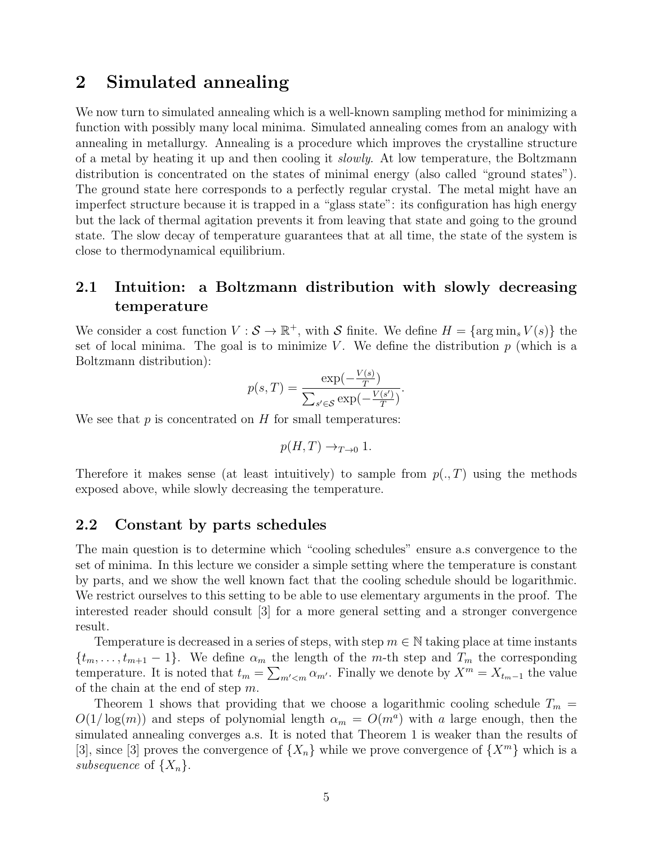## 2 Simulated annealing

We now turn to simulated annealing which is a well-known sampling method for minimizing a function with possibly many local minima. Simulated annealing comes from an analogy with annealing in metallurgy. Annealing is a procedure which improves the crystalline structure of a metal by heating it up and then cooling it slowly. At low temperature, the Boltzmann distribution is concentrated on the states of minimal energy (also called "ground states"). The ground state here corresponds to a perfectly regular crystal. The metal might have an imperfect structure because it is trapped in a "glass state": its configuration has high energy but the lack of thermal agitation prevents it from leaving that state and going to the ground state. The slow decay of temperature guarantees that at all time, the state of the system is close to thermodynamical equilibrium.

## 2.1 Intuition: a Boltzmann distribution with slowly decreasing temperature

We consider a cost function  $V : \mathcal{S} \to \mathbb{R}^+$ , with  $\mathcal{S}$  finite. We define  $H = \{ \arg \min_s V(s) \}$  the set of local minima. The goal is to minimize V. We define the distribution  $p$  (which is a Boltzmann distribution):

$$
p(s,T) = \frac{\exp(-\frac{V(s)}{T})}{\sum_{s' \in \mathcal{S}} \exp(-\frac{V(s')}{T})}
$$

.

We see that  $p$  is concentrated on  $H$  for small temperatures:

$$
p(H,T) \to_{T \to 0} 1.
$$

Therefore it makes sense (at least intuitively) to sample from  $p(., T)$  using the methods exposed above, while slowly decreasing the temperature.

#### 2.2 Constant by parts schedules

The main question is to determine which "cooling schedules" ensure a.s convergence to the set of minima. In this lecture we consider a simple setting where the temperature is constant by parts, and we show the well known fact that the cooling schedule should be logarithmic. We restrict ourselves to this setting to be able to use elementary arguments in the proof. The interested reader should consult [3] for a more general setting and a stronger convergence result.

Temperature is decreased in a series of steps, with step  $m \in \mathbb{N}$  taking place at time instants  $\{t_m, \ldots, t_{m+1} - 1\}$ . We define  $\alpha_m$  the length of the m-th step and  $T_m$  the corresponding temperature. It is noted that  $t_m = \sum_{m' < m} \alpha_{m'}$ . Finally we denote by  $X^m = X_{t_m-1}$  the value of the chain at the end of step  $m$ .

Theorem 1 shows that providing that we choose a logarithmic cooling schedule  $T_m$  =  $O(1/\log(m))$  and steps of polynomial length  $\alpha_m = O(m^a)$  with a large enough, then the simulated annealing converges a.s. It is noted that Theorem 1 is weaker than the results of [3], since [3] proves the convergence of  $\{X_n\}$  while we prove convergence of  $\{X^m\}$  which is a subsequence of  $\{X_n\}$ .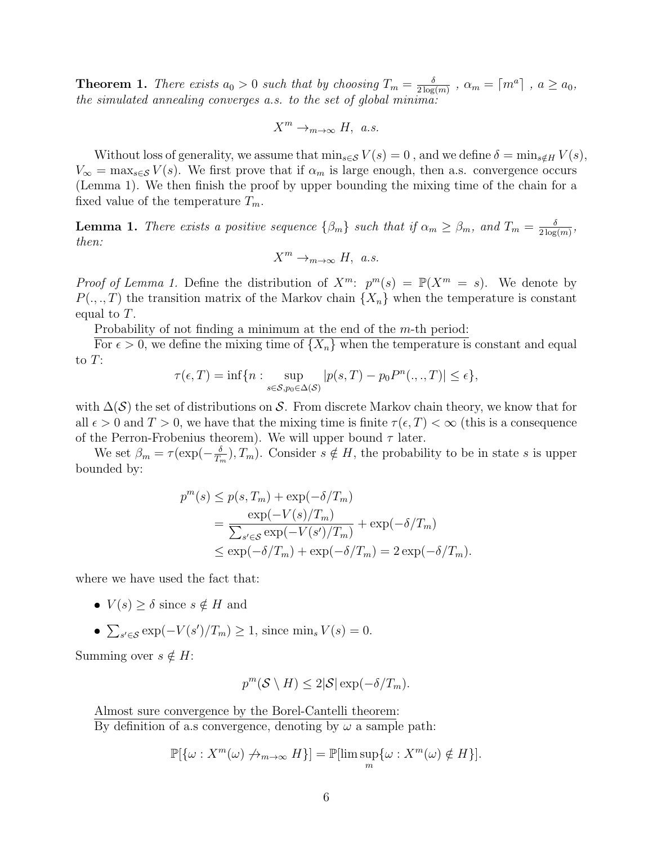**Theorem 1.** There exists  $a_0 > 0$  such that by choosing  $T_m = \frac{\delta}{2 \log n}$  $\frac{\delta}{2\log(m)}$  ,  $\alpha_m = \lceil m^a \rceil$  ,  $a \ge a_0$ , the simulated annealing converges a.s. to the set of global minima:

$$
X^m\to_{m\to\infty} H, a.s.
$$

Without loss of generality, we assume that  $\min_{s\in\mathcal{S}}V(s)=0$ , and we define  $\delta=\min_{s\notin H}V(s)$ ,  $V_{\infty} = \max_{s \in \mathcal{S}} V(s)$ . We first prove that if  $\alpha_m$  is large enough, then a.s. convergence occurs (Lemma 1). We then finish the proof by upper bounding the mixing time of the chain for a fixed value of the temperature  $T_m$ .

**Lemma 1.** There exists a positive sequence  $\{\beta_m\}$  such that if  $\alpha_m \geq \beta_m$ , and  $T_m = \frac{\delta}{2 \log n}$  $\frac{\delta}{2\log(m)},$ then:

$$
X^m \to_{m \to \infty} H, \ a.s.
$$

*Proof of Lemma 1.* Define the distribution of  $X^m$ :  $p^m(s) = \mathbb{P}(X^m = s)$ . We denote by  $P(.,.,T)$  the transition matrix of the Markov chain  $\{X_n\}$  when the temperature is constant equal to T.

Probability of not finding a minimum at the end of the m-th period:

For  $\epsilon > 0$ , we define the mixing time of  $\{X_n\}$  when the temperature is constant and equal to  $T$ :

$$
\tau(\epsilon, T) = \inf \{ n : \sup_{s \in \mathcal{S}, p_0 \in \Delta(\mathcal{S})} |p(s, T) - p_0 P^n(., ., T)| \le \epsilon \},
$$

with  $\Delta(\mathcal{S})$  the set of distributions on S. From discrete Markov chain theory, we know that for all  $\epsilon > 0$  and  $T > 0$ , we have that the mixing time is finite  $\tau(\epsilon, T) < \infty$  (this is a consequence of the Perron-Frobenius theorem). We will upper bound  $\tau$  later.

We set  $\beta_m = \tau (\exp(-\frac{\delta}{T_s}))$  $(\frac{\delta}{T_m})$ ,  $T_m$ ). Consider  $s \notin H$ , the probability to be in state s is upper bounded by:

$$
p^{m}(s) \le p(s, T_m) + \exp(-\delta/T_m)
$$
  
= 
$$
\frac{\exp(-V(s)/T_m)}{\sum_{s' \in \mathcal{S}} \exp(-V(s')/T_m)} + \exp(-\delta/T_m)
$$
  

$$
\le \exp(-\delta/T_m) + \exp(-\delta/T_m) = 2 \exp(-\delta/T_m).
$$

where we have used the fact that:

- $V(s) \geq \delta$  since  $s \notin H$  and
- $\sum_{s' \in \mathcal{S}} \exp(-V(s')/T_m) \geq 1$ , since min<sub>s</sub>  $V(s) = 0$ .

Summing over  $s \notin H$ :

$$
p^m(\mathcal{S} \setminus H) \le 2|\mathcal{S}| \exp(-\delta/T_m).
$$

Almost sure convergence by the Borel-Cantelli theorem: By definition of a.s convergence, denoting by  $\omega$  a sample path:

$$
\mathbb{P}[\{\omega : X^m(\omega) \nrightarrow_{m \to \infty} H\}] = \mathbb{P}[\lim \sup_m \{\omega : X^m(\omega) \notin H\}].
$$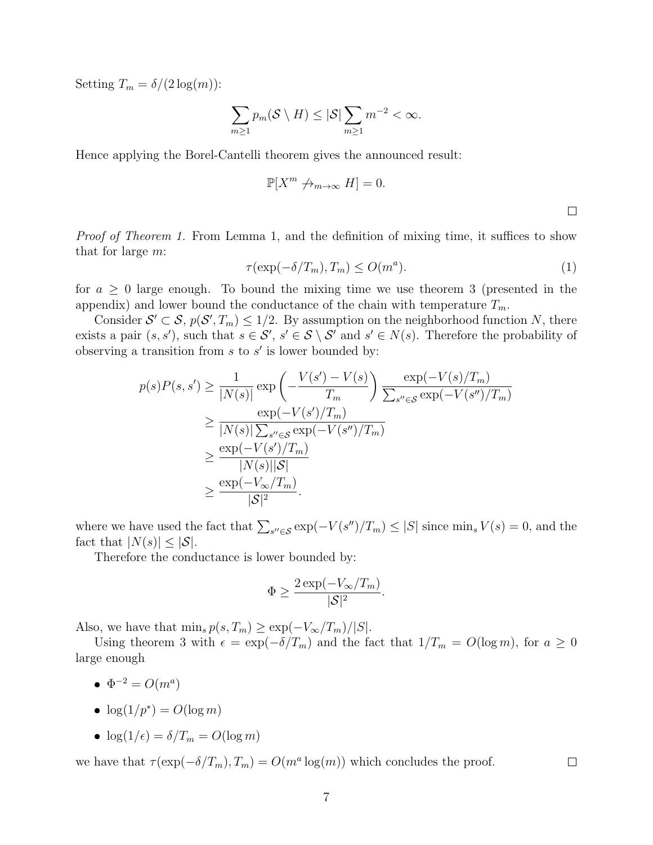Setting  $T_m = \delta/(2 \log(m))$ :

$$
\sum_{m\geq 1} p_m(\mathcal{S}\setminus H) \leq |\mathcal{S}| \sum_{m\geq 1} m^{-2} < \infty.
$$

Hence applying the Borel-Cantelli theorem gives the announced result:

$$
\mathbb{P}[X^m \not\to_{m \to \infty} H] = 0.
$$

Proof of Theorem 1. From Lemma 1, and the definition of mixing time, it suffices to show that for large m:

$$
\tau(\exp(-\delta/T_m), T_m) \le O(m^a). \tag{1}
$$

for  $a \geq 0$  large enough. To bound the mixing time we use theorem 3 (presented in the appendix) and lower bound the conductance of the chain with temperature  $T_m$ .

Consider  $S' \subset S$ ,  $p(S', T_m) \leq 1/2$ . By assumption on the neighborhood function N, there exists a pair  $(s, s')$ , such that  $s \in S'$ ,  $s' \in S \setminus S'$  and  $s' \in N(s)$ . Therefore the probability of observing a transition from  $s$  to  $s'$  is lower bounded by:

$$
p(s)P(s,s') \ge \frac{1}{|N(s)|} \exp\left(-\frac{V(s') - V(s)}{T_m}\right) \frac{\exp(-V(s)/T_m)}{\sum_{s'' \in \mathcal{S}} \exp(-V(s'')/T_m)}
$$
  
\n
$$
\ge \frac{\exp(-V(s')/T_m)}{|N(s)| \sum_{s'' \in \mathcal{S}} \exp(-V(s'')/T_m)}
$$
  
\n
$$
\ge \frac{\exp(-V(s')/T_m)}{|N(s)||\mathcal{S}|}
$$
  
\n
$$
\ge \frac{\exp(-V_{\infty}/T_m)}{|\mathcal{S}|^2}.
$$

where we have used the fact that  $\sum_{s'' \in \mathcal{S}} \exp(-V(s'')/T_m) \leq |S|$  since  $\min_s V(s) = 0$ , and the fact that  $|N(s)| \leq |\mathcal{S}|$ .

Therefore the conductance is lower bounded by:

$$
\Phi \ge \frac{2\exp(-V_{\infty}/T_m)}{|\mathcal{S}|^2}.
$$

Also, we have that  $\min_s p(s,T_m) \geq \exp(-V_{\infty}/T_m)/|S|.$ 

Using theorem 3 with  $\epsilon = \exp(-\delta/T_m)$  and the fact that  $1/T_m = O(\log m)$ , for  $a \ge 0$ large enough

- $\Phi^{-2} = O(m^a)$
- log(1/p<sup>\*</sup>) =  $O(\log m)$
- log( $1/\epsilon$ ) =  $\delta/T_m = O(\log m)$

we have that  $\tau(\exp(-\delta/T_m), T_m) = O(m^a \log(m))$  which concludes the proof.

 $\Box$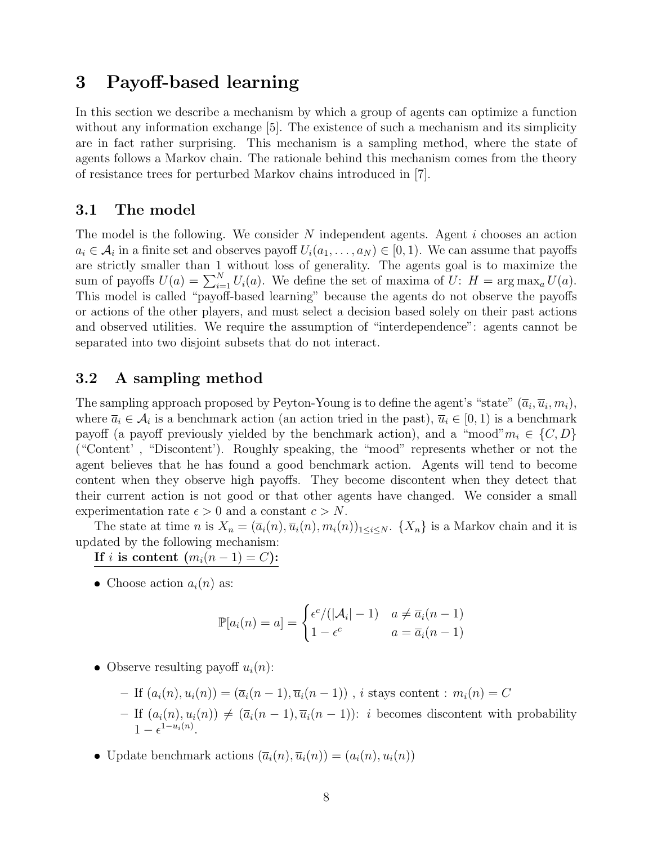## 3 Payoff-based learning

In this section we describe a mechanism by which a group of agents can optimize a function without any information exchange [5]. The existence of such a mechanism and its simplicity are in fact rather surprising. This mechanism is a sampling method, where the state of agents follows a Markov chain. The rationale behind this mechanism comes from the theory of resistance trees for perturbed Markov chains introduced in [7].

#### 3.1 The model

The model is the following. We consider  $N$  independent agents. Agent  $i$  chooses an action  $a_i \in \mathcal{A}_i$  in a finite set and observes payoff  $U_i(a_1, \ldots, a_N) \in [0, 1)$ . We can assume that payoffs are strictly smaller than 1 without loss of generality. The agents goal is to maximize the sum of payoffs  $U(a) = \sum_{i=1}^{N} U_i(a)$ . We define the set of maxima of  $U: H = \arg \max_a U(a)$ . This model is called "payoff-based learning" because the agents do not observe the payoffs or actions of the other players, and must select a decision based solely on their past actions and observed utilities. We require the assumption of "interdependence": agents cannot be separated into two disjoint subsets that do not interact.

#### 3.2 A sampling method

The sampling approach proposed by Peyton-Young is to define the agent's "state"  $(\overline{a}_i, \overline{u}_i, m_i)$ , where  $\bar{a}_i \in \mathcal{A}_i$  is a benchmark action (an action tried in the past),  $\bar{u}_i \in [0,1)$  is a benchmark payoff (a payoff previously yielded by the benchmark action), and a "mood" $m_i \in \{C, D\}$ ("Content' , "Discontent'). Roughly speaking, the "mood" represents whether or not the agent believes that he has found a good benchmark action. Agents will tend to become content when they observe high payoffs. They become discontent when they detect that their current action is not good or that other agents have changed. We consider a small experimentation rate  $\epsilon > 0$  and a constant  $c > N$ .

The state at time n is  $X_n = (\overline{a}_i(n), \overline{u}_i(n), m_i(n))_{1 \leq i \leq N}$ .  $\{X_n\}$  is a Markov chain and it is updated by the following mechanism:

If i is content  $(m_i(n-1) = C)$ :

• Choose action  $a_i(n)$  as:

$$
\mathbb{P}[a_i(n) = a] = \begin{cases} \epsilon^c / (|\mathcal{A}_i| - 1) & a \neq \overline{a}_i(n-1) \\ 1 - \epsilon^c & a = \overline{a}_i(n-1) \end{cases}
$$

• Observe resulting payoff  $u_i(n)$ :

- If 
$$
(a_i(n), u_i(n)) = (\overline{a}_i(n-1), \overline{u}_i(n-1))
$$
, *i* stays content :  $m_i(n) = C$   
- If  $(a_i(n), u_i(n)) \neq (\overline{a}_i(n-1), \overline{u}_i(n-1))$ : *i* becomes disconnect with probability  $1 - \epsilon^{1-u_i(n)}$ .

• Update benchmark actions  $(\overline{a}_i(n), \overline{u}_i(n)) = (a_i(n), u_i(n))$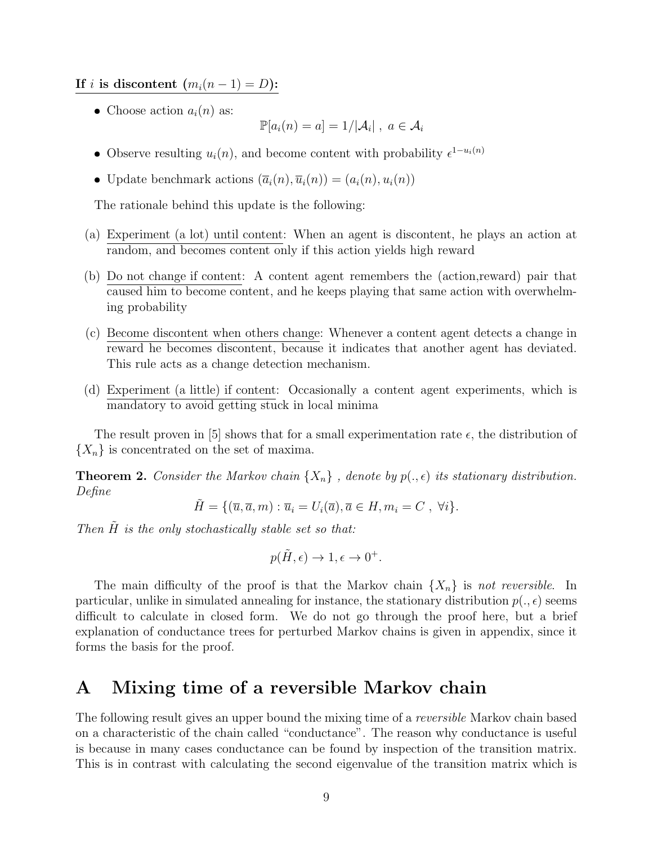If *i* is discontent  $(m_i(n-1) = D)$ :

• Choose action  $a_i(n)$  as:

$$
\mathbb{P}[a_i(n) = a] = 1/|\mathcal{A}_i| \; , \; a \in \mathcal{A}_i
$$

- Observe resulting  $u_i(n)$ , and become content with probability  $\epsilon^{1-u_i(n)}$
- Update benchmark actions  $(\overline{a}_i(n), \overline{u}_i(n)) = (a_i(n), u_i(n))$

The rationale behind this update is the following:

- (a) Experiment (a lot) until content: When an agent is discontent, he plays an action at random, and becomes content only if this action yields high reward
- (b) Do not change if content: A content agent remembers the (action,reward) pair that caused him to become content, and he keeps playing that same action with overwhelming probability
- (c) Become discontent when others change: Whenever a content agent detects a change in reward he becomes discontent, because it indicates that another agent has deviated. This rule acts as a change detection mechanism.
- (d) Experiment (a little) if content: Occasionally a content agent experiments, which is mandatory to avoid getting stuck in local minima

The result proven in [5] shows that for a small experimentation rate  $\epsilon$ , the distribution of  ${X_n}$  is concentrated on the set of maxima.

**Theorem 2.** Consider the Markov chain  $\{X_n\}$ , denote by  $p(.,\epsilon)$  its stationary distribution. Define

$$
\tilde{H} = \{ (\overline{u}, \overline{a}, m) : \overline{u}_i = U_i(\overline{a}), \overline{a} \in H, m_i = C , \ \forall i \}.
$$

Then  $\tilde{H}$  is the only stochastically stable set so that:

$$
p(\tilde{H}, \epsilon) \to 1, \epsilon \to 0^+.
$$

The main difficulty of the proof is that the Markov chain  $\{X_n\}$  is not reversible. In particular, unlike in simulated annealing for instance, the stationary distribution  $p(., \epsilon)$  seems difficult to calculate in closed form. We do not go through the proof here, but a brief explanation of conductance trees for perturbed Markov chains is given in appendix, since it forms the basis for the proof.

## A Mixing time of a reversible Markov chain

The following result gives an upper bound the mixing time of a *reversible* Markov chain based on a characteristic of the chain called "conductance". The reason why conductance is useful is because in many cases conductance can be found by inspection of the transition matrix. This is in contrast with calculating the second eigenvalue of the transition matrix which is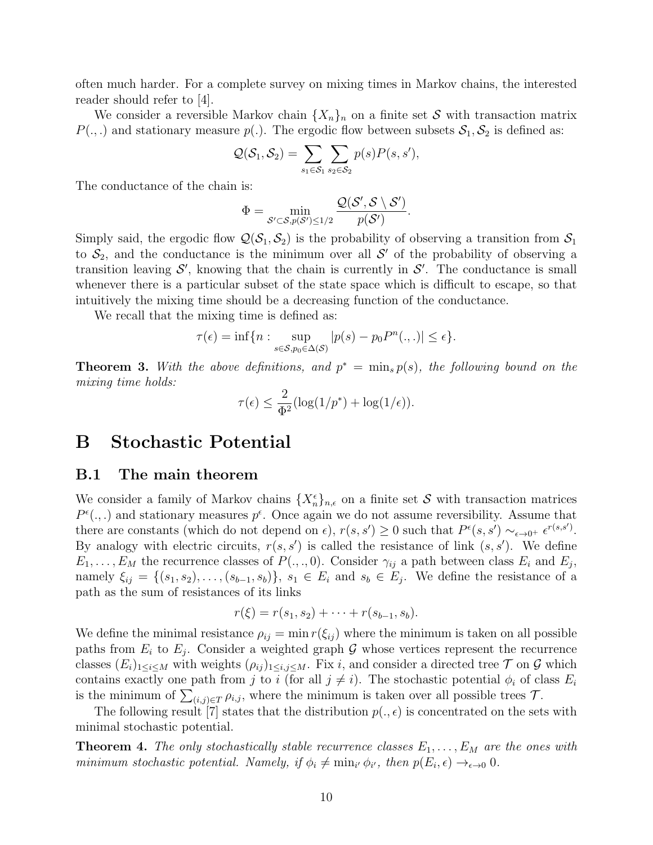often much harder. For a complete survey on mixing times in Markov chains, the interested reader should refer to [4].

We consider a reversible Markov chain  $\{X_n\}_n$  on a finite set S with transaction matrix  $P(.,.)$  and stationary measure  $p(.)$ . The ergodic flow between subsets  $S_1, S_2$  is defined as:

$$
Q(S_1, S_2) = \sum_{s_1 \in S_1} \sum_{s_2 \in S_2} p(s) P(s, s'),
$$

The conductance of the chain is:

$$
\Phi = \min_{\mathcal{S}' \subset \mathcal{S}, p(\mathcal{S}') \leq 1/2} \frac{\mathcal{Q}(\mathcal{S}', \mathcal{S} \setminus \mathcal{S}')}{p(\mathcal{S}')}.
$$

Simply said, the ergodic flow  $\mathcal{Q}(\mathcal{S}_1,\mathcal{S}_2)$  is the probability of observing a transition from  $\mathcal{S}_1$ to  $S_2$ , and the conductance is the minimum over all S' of the probability of observing a transition leaving  $S'$ , knowing that the chain is currently in  $S'$ . The conductance is small whenever there is a particular subset of the state space which is difficult to escape, so that intuitively the mixing time should be a decreasing function of the conductance.

We recall that the mixing time is defined as:

$$
\tau(\epsilon) = \inf \{ n : \sup_{s \in \mathcal{S}, p_0 \in \Delta(\mathcal{S})} |p(s) - p_0 P^n(.,.)| \le \epsilon \}.
$$

**Theorem 3.** With the above definitions, and  $p^* = \min_s p(s)$ , the following bound on the mixing time holds:

$$
\tau(\epsilon) \le \frac{2}{\Phi^2} (\log(1/p^*) + \log(1/\epsilon)).
$$

## B Stochastic Potential

#### B.1 The main theorem

We consider a family of Markov chains  $\{X_n^{\epsilon}\}_{n,\epsilon}$  on a finite set S with transaction matrices  $P^{\epsilon}(.,.)$  and stationary measures  $p^{\epsilon}$ . Once again we do not assume reversibility. Assume that there are constants (which do not depend on  $\epsilon$ ),  $r(s, s') \geq 0$  such that  $P^{\epsilon}(s, s') \sim_{\epsilon \to 0^+} \epsilon^{r(s, s')}$ . By analogy with electric circuits,  $r(s, s')$  is called the resistance of link  $(s, s')$ . We define  $E_1, \ldots, E_M$  the recurrence classes of  $P(., ., 0)$ . Consider  $\gamma_{ij}$  a path between class  $E_i$  and  $E_j$ , namely  $\xi_{ij} = \{(s_1, s_2), \ldots, (s_{b-1}, s_b)\}, s_1 \in E_i \text{ and } s_b \in E_j$ . We define the resistance of a path as the sum of resistances of its links

$$
r(\xi) = r(s_1, s_2) + \cdots + r(s_{b-1}, s_b).
$$

We define the minimal resistance  $\rho_{ij} = \min r(\xi_{ij})$  where the minimum is taken on all possible paths from  $E_i$  to  $E_j$ . Consider a weighted graph G whose vertices represent the recurrence classes  $(E_i)_{1\leq i\leq M}$  with weights  $(\rho_{ij})_{1\leq i,j\leq M}$ . Fix i, and consider a directed tree  $\mathcal T$  on  $\mathcal G$  which contains exactly one path from j to i (for all  $j \neq i$ ). The stochastic potential  $\phi_i$  of class  $E_i$ is the minimum of  $\sum_{(i,j)\in T} \rho_{i,j}$ , where the minimum is taken over all possible trees  $\mathcal{T}$ .

The following result [7] states that the distribution  $p(., \epsilon)$  is concentrated on the sets with minimal stochastic potential.

**Theorem 4.** The only stochastically stable recurrence classes  $E_1, \ldots, E_M$  are the ones with minimum stochastic potential. Namely, if  $\phi_i \neq \min_{i'} \phi_{i'}$ , then  $p(E_i, \epsilon) \to_{\epsilon \to 0} 0$ .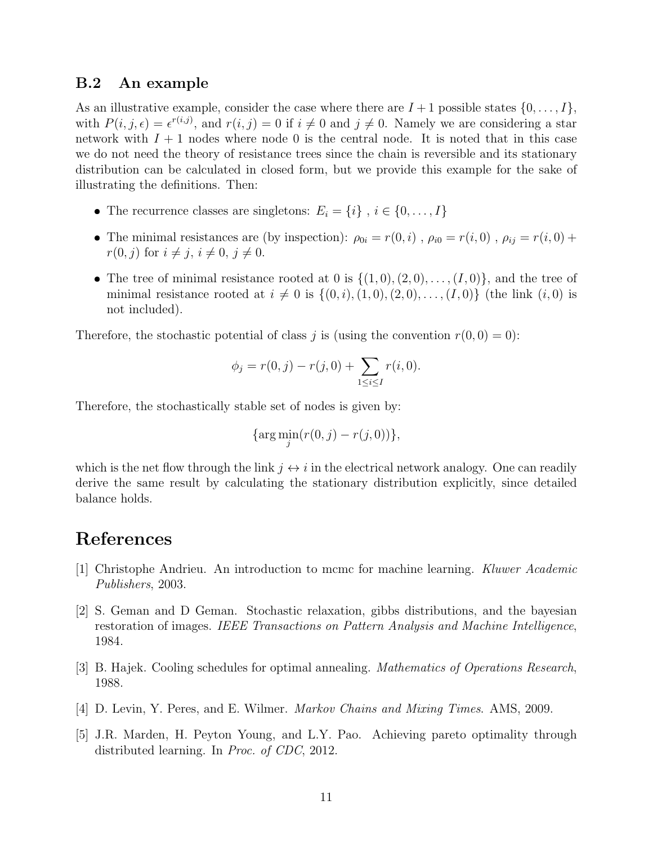#### B.2 An example

As an illustrative example, consider the case where there are  $I + 1$  possible states  $\{0, \ldots, I\}$ , with  $P(i, j, \epsilon) = \epsilon^{r(i,j)}$ , and  $r(i, j) = 0$  if  $i \neq 0$  and  $j \neq 0$ . Namely we are considering a star network with  $I + 1$  nodes where node 0 is the central node. It is noted that in this case we do not need the theory of resistance trees since the chain is reversible and its stationary distribution can be calculated in closed form, but we provide this example for the sake of illustrating the definitions. Then:

- The recurrence classes are singletons:  $E_i = \{i\}$ ,  $i \in \{0, ..., I\}$
- The minimal resistances are (by inspection):  $\rho_{0i} = r(0, i)$ ,  $\rho_{i0} = r(i, 0)$ ,  $\rho_{ij} = r(i, 0) +$  $r(0, j)$  for  $i \neq j$ ,  $i \neq 0$ ,  $j \neq 0$ .
- The tree of minimal resistance rooted at 0 is  $\{(1,0),(2,0),\ldots,(I,0)\}$ , and the tree of minimal resistance rooted at  $i \neq 0$  is  $\{(0, i), (1, 0), (2, 0), \ldots, (I, 0)\}$  (the link  $(i, 0)$  is not included).

Therefore, the stochastic potential of class j is (using the convention  $r(0, 0) = 0$ ):

$$
\phi_j = r(0, j) - r(j, 0) + \sum_{1 \le i \le I} r(i, 0).
$$

Therefore, the stochastically stable set of nodes is given by:

$$
\{\arg\min_j(r(0,j)-r(j,0))\},\
$$

which is the net flow through the link  $j \leftrightarrow i$  in the electrical network analogy. One can readily derive the same result by calculating the stationary distribution explicitly, since detailed balance holds.

## References

- [1] Christophe Andrieu. An introduction to mcmc for machine learning. Kluwer Academic Publishers, 2003.
- [2] S. Geman and D Geman. Stochastic relaxation, gibbs distributions, and the bayesian restoration of images. IEEE Transactions on Pattern Analysis and Machine Intelligence, 1984.
- [3] B. Hajek. Cooling schedules for optimal annealing. Mathematics of Operations Research, 1988.
- [4] D. Levin, Y. Peres, and E. Wilmer. Markov Chains and Mixing Times. AMS, 2009.
- [5] J.R. Marden, H. Peyton Young, and L.Y. Pao. Achieving pareto optimality through distributed learning. In Proc. of CDC, 2012.